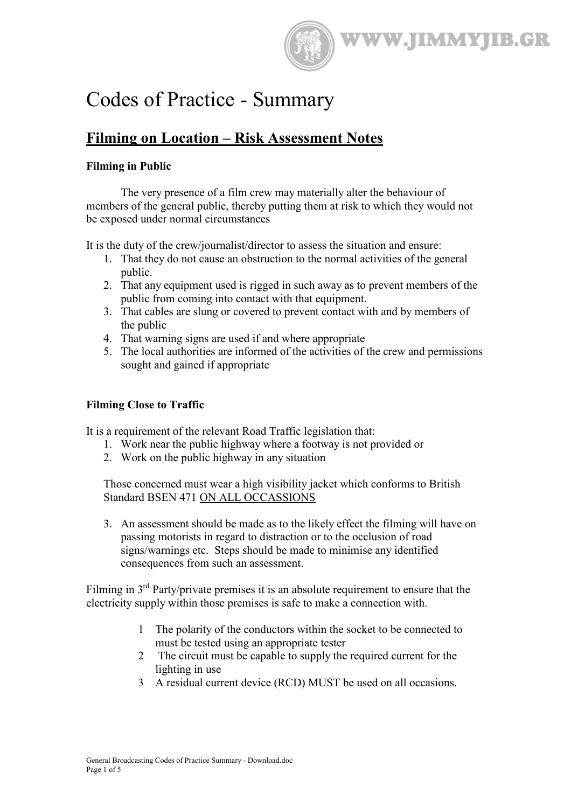

# Codes of Practice - Summary

# **Filming on Location – Risk Assessment Notes**

# **Filming in Public**

The very presence of a film crew may materially alter the behaviour of members of the general public, thereby putting them at risk to which they would not be exposed under normal circumstances

It is the duty of the crew/journalist/director to assess the situation and ensure:

- 1. That they do not cause an obstruction to the normal activities of the general public.
- 2. That any equipment used is rigged in such away as to prevent members of the public from coming into contact with that equipment.
- 3. That cables are slung or covered to prevent contact with and by members of the public
- 4. That warning signs are used if and where appropriate
- 5. The local authorities are informed of the activities of the crew and permissions sought and gained if appropriate

# **Filming Close to Traffic**

It is a requirement of the relevant Road Traffic legislation that:

- 1. Work near the public highway where a footway is not provided or
- 2. Work on the public highway in any situation

Those concerned must wear a high visibility jacket which conforms to British Standard BSEN 471 ON ALL OCCASSIONS

3. An assessment should be made as to the likely effect the filming will have on passing motorists in regard to distraction or to the occlusion of road signs/warnings etc. Steps should be made to minimise any identified consequences from such an assessment.

Filming in  $3<sup>rd</sup>$  Party/private premises it is an absolute requirement to ensure that the electricity supply within those premises is safe to make a connection with.

- 1 The polarity of the conductors within the socket to be connected to must be tested using an appropriate tester
- 2 The circuit must be capable to supply the required current for the lighting in use
- 3 A residual current device (RCD) MUST be used on all occasions.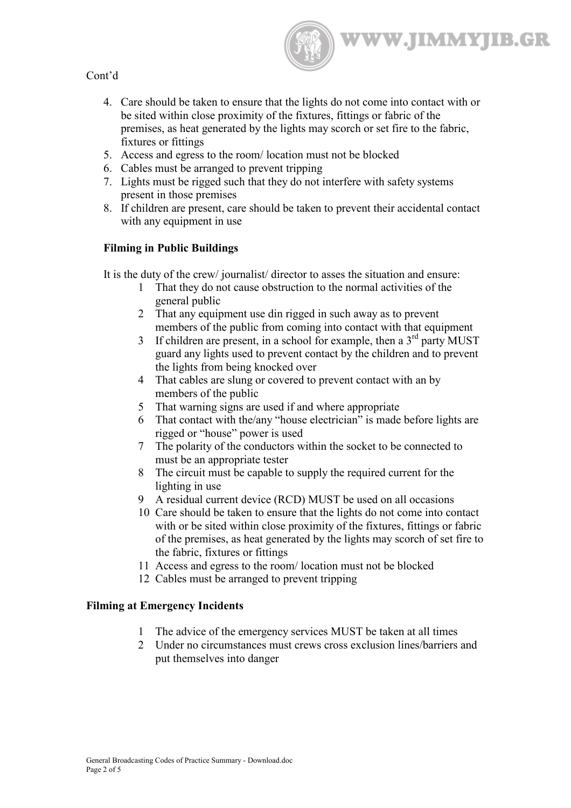

# Cont'd

- 4. Care should be taken to ensure that the lights do not come into contact with or be sited within close proximity of the fixtures, fittings or fabric of the premises, as heat generated by the lights may scorch or set fire to the fabric, fixtures or fittings
- 5. Access and egress to the room/ location must not be blocked
- 6. Cables must be arranged to prevent tripping
- 7. Lights must be rigged such that they do not interfere with safety systems present in those premises
- 8. If children are present, care should be taken to prevent their accidental contact with any equipment in use

# **Filming in Public Buildings**

It is the duty of the crew/ journalist/ director to asses the situation and ensure:

- 1 That they do not cause obstruction to the normal activities of the general public
- 2 That any equipment use din rigged in such away as to prevent members of the public from coming into contact with that equipment
- 3 If children are present, in a school for example, then a  $3<sup>rd</sup>$  party MUST guard any lights used to prevent contact by the children and to prevent the lights from being knocked over
- 4 That cables are slung or covered to prevent contact with an by members of the public
- 5 That warning signs are used if and where appropriate
- 6 That contact with the/any "house electrician" is made before lights are rigged or "house" power is used
- 7 The polarity of the conductors within the socket to be connected to must be an appropriate tester
- 8 The circuit must be capable to supply the required current for the lighting in use
- 9 A residual current device (RCD) MUST be used on all occasions
- 10 Care should be taken to ensure that the lights do not come into contact with or be sited within close proximity of the fixtures, fittings or fabric of the premises, as heat generated by the lights may scorch of set fire to the fabric, fixtures or fittings
- 11 Access and egress to the room/ location must not be blocked
- 12 Cables must be arranged to prevent tripping

#### **Filming at Emergency Incidents**

- 1 The advice of the emergency services MUST be taken at all times
- 2 Under no circumstances must crews cross exclusion lines/barriers and put themselves into danger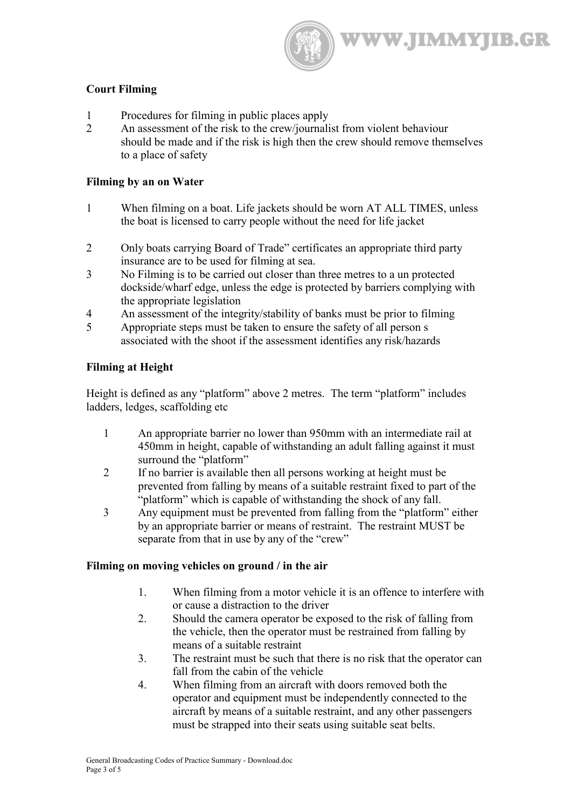**WWW.JIMMYJIB.GR** 

#### **Court Filming**

- 1 Procedures for filming in public places apply
- 2 An assessment of the risk to the crew/journalist from violent behaviour should be made and if the risk is high then the crew should remove themselves to a place of safety

#### **Filming by an on Water**

- 1 When filming on a boat. Life jackets should be worn AT ALL TIMES, unless the boat is licensed to carry people without the need for life jacket
- 2 Only boats carrying Board of Trade" certificates an appropriate third party insurance are to be used for filming at sea.
- 3 No Filming is to be carried out closer than three metres to a un protected dockside/wharf edge, unless the edge is protected by barriers complying with the appropriate legislation
- 4 An assessment of the integrity/stability of banks must be prior to filming
- 5 Appropriate steps must be taken to ensure the safety of all person s associated with the shoot if the assessment identifies any risk/hazards

#### **Filming at Height**

Height is defined as any "platform" above 2 metres. The term "platform" includes ladders, ledges, scaffolding etc

- 1 An appropriate barrier no lower than 950mm with an intermediate rail at 450mm in height, capable of withstanding an adult falling against it must surround the "platform"
- 2 If no barrier is available then all persons working at height must be prevented from falling by means of a suitable restraint fixed to part of the "platform" which is capable of withstanding the shock of any fall.
- 3 Any equipment must be prevented from falling from the "platform" either by an appropriate barrier or means of restraint. The restraint MUST be separate from that in use by any of the "crew"

#### **Filming on moving vehicles on ground / in the air**

- 1. When filming from a motor vehicle it is an offence to interfere with or cause a distraction to the driver
- 2. Should the camera operator be exposed to the risk of falling from the vehicle, then the operator must be restrained from falling by means of a suitable restraint
- 3. The restraint must be such that there is no risk that the operator can fall from the cabin of the vehicle
- 4. When filming from an aircraft with doors removed both the operator and equipment must be independently connected to the aircraft by means of a suitable restraint, and any other passengers must be strapped into their seats using suitable seat belts.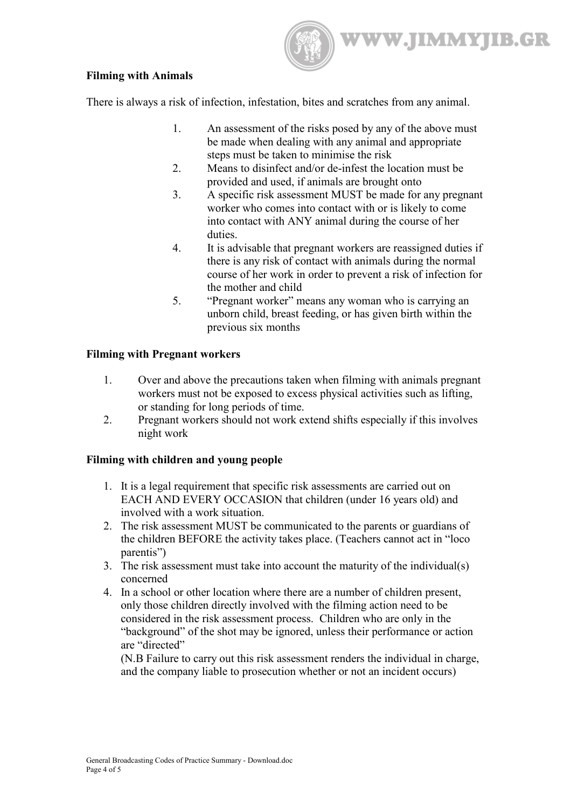WWW.JIMMYJIB.GR

# **Filming with Animals**

There is always a risk of infection, infestation, bites and scratches from any animal.

- 1. An assessment of the risks posed by any of the above must be made when dealing with any animal and appropriate steps must be taken to minimise the risk
- 2. Means to disinfect and/or de-infest the location must be provided and used, if animals are brought onto
- 3. A specific risk assessment MUST be made for any pregnant worker who comes into contact with or is likely to come into contact with ANY animal during the course of her duties.
- 4. It is advisable that pregnant workers are reassigned duties if there is any risk of contact with animals during the normal course of her work in order to prevent a risk of infection for the mother and child
- 5. "Pregnant worker" means any woman who is carrying an unborn child, breast feeding, or has given birth within the previous six months

# **Filming with Pregnant workers**

- 1. Over and above the precautions taken when filming with animals pregnant workers must not be exposed to excess physical activities such as lifting, or standing for long periods of time.
- 2. Pregnant workers should not work extend shifts especially if this involves night work

# **Filming with children and young people**

- 1. It is a legal requirement that specific risk assessments are carried out on EACH AND EVERY OCCASION that children (under 16 years old) and involved with a work situation.
- 2. The risk assessment MUST be communicated to the parents or guardians of the children BEFORE the activity takes place. (Teachers cannot act in "loco parentis")
- 3. The risk assessment must take into account the maturity of the individual(s) concerned
- 4. In a school or other location where there are a number of children present, only those children directly involved with the filming action need to be considered in the risk assessment process. Children who are only in the "background" of the shot may be ignored, unless their performance or action are "directed"

(N.B Failure to carry out this risk assessment renders the individual in charge, and the company liable to prosecution whether or not an incident occurs)